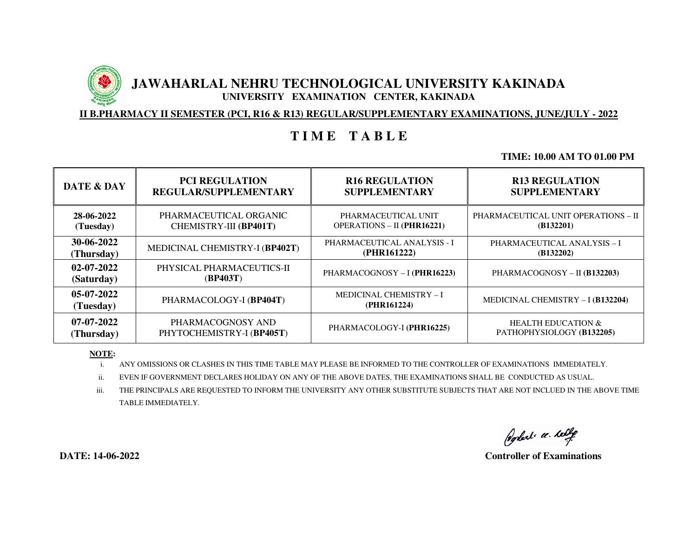# **JAWAHARLAL NEHRU TECHNOLOGICAL UNIVERSITY KAKINADA UNIVERSITY EXAMINATION CENTER, KAKINADA**

**II B.PHARMACY II SEMESTER (PCI, R16 & R13) REGULAR/SUPPLEMENTARY EXAMINATIONS, JUNE/JULY - 2022**

# **T I M E T A B L E**

## **TIME: 10.00 AM TO 01.00 PM**

| DATE & DAY                     | <b>PCI REGULATION</b>                 | <b>R16 REGULATION</b>                         | <b>R13 REGULATION</b>               |
|--------------------------------|---------------------------------------|-----------------------------------------------|-------------------------------------|
|                                | <b>REGULAR/SUPPLEMENTARY</b>          | <b>SUPPLEMENTARY</b>                          | <b>SUPPLEMENTARY</b>                |
| 28-06-2022                     | PHARMACEUTICAL ORGANIC                | PHARMACEUTICAL UNIT                           | PHARMACEUTICAL UNIT OPERATIONS - II |
| (Tuesday)                      | CHEMISTRY-III (BP401T)                | <b>OPERATIONS - II (PHR16221)</b>             | (B132201)                           |
| 30-06-2022                     | MEDICINAL CHEMISTRY-I (BP402T)        | PHARMACEUTICAL ANALYSIS - I                   | PHARMACEUTICAL ANALYSIS - I         |
| (Thursday)                     |                                       | (PHR161222)                                   | (B132202)                           |
| $02 - 07 - 2022$<br>(Saturday) | PHYSICAL PHARMACEUTICS-II<br>(BP403T) | PHARMACOGNOSY - I (PHR16223)                  | PHARMACOGNOSY – II (B132203)        |
| 05-07-2022<br>(Tuesday)        | PHARMACOLOGY-I (BP404T)               | <b>MEDICINAL CHEMISTRY - I</b><br>(PHR161224) | MEDICINAL CHEMISTRY - I (B132204)   |
| 07-07-2022                     | PHARMACOGNOSY AND                     | PHARMACOLOGY-I (PHR16225)                     | <b>HEALTH EDUCATION &amp;</b>       |
| (Thursday)                     | PHYTOCHEMISTRY-I (BP405T)             |                                               | PATHOPHYSIOLOGY (B132205)           |

### **NOTE:**

i.ANY OMISSIONS OR CLASHES IN THIS TIME TABLE MAY PLEASE BE INFORMED TO THE CONTROLLER OF EXAMINATIONS IMMEDIATELY.

ii.EVEN IF GOVERNMENT DECLARES HOLIDAY ON ANY OF THE ABOVE DATES, THE EXAMINATIONS SHALL BE CONDUCTED AS USUAL.

iii. THE PRINCIPALS ARE REQUESTED TO INFORM THE UNIVERSITY ANY OTHER SUBSTITUTE SUBJECTS THAT ARE NOT INCLUED IN THE ABOVE TIME TABLE IMMEDIATELY.

Poplat c. left

**DATE: 14-06-2022 Controller of Examinations**